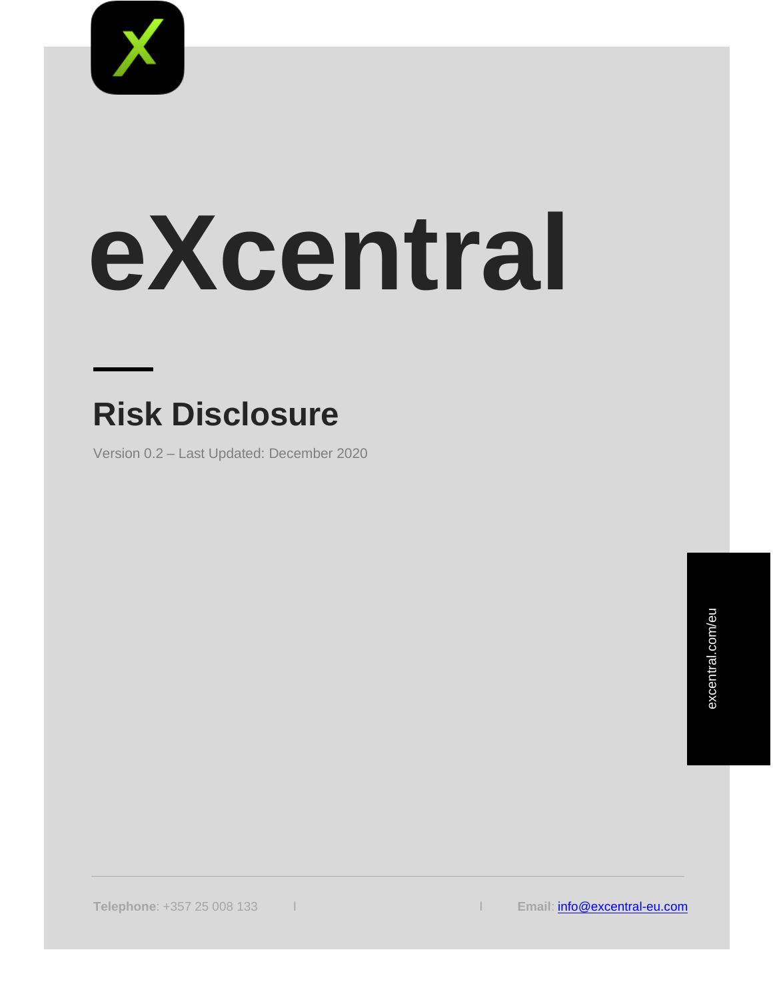

# **eXcentral**

# **Risk Disclosure**

Version 0.2 – Last Updated: December 2020

**Telephone**: +357 25 008 133 l l **Email**: [info@excentral-eu.com](mailto:info@excentral-eu.com)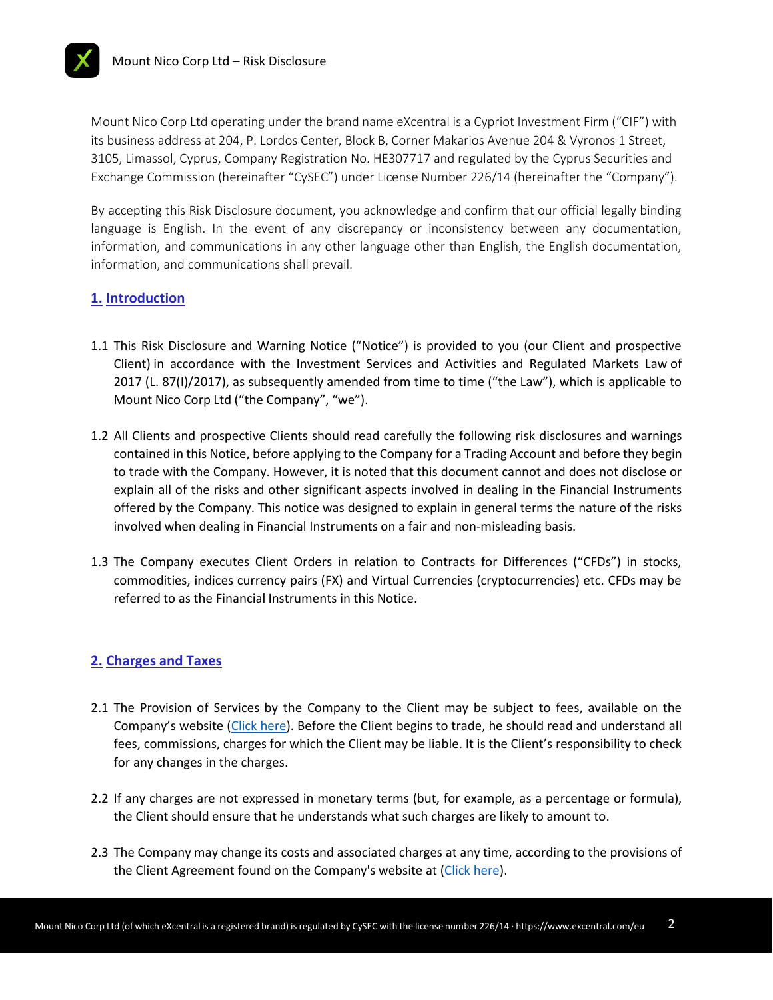Mount Nico Corp Ltd operating under the brand name eXcentral is a Cypriot Investment Firm ("CIF") with its business address at 204, P. Lordos Center, Block B, Corner Makarios Avenue 204 & Vyronos 1 Street, 3105, Limassol, Cyprus, Company Registration No. HE307717 and regulated by the Cyprus Securities and Exchange Commission (hereinafter "CySEC") under License Number 226/14 (hereinafter the "Company").

By accepting this Risk Disclosure document, you acknowledge and confirm that our official legally binding language is English. In the event of any discrepancy or inconsistency between any documentation, information, and communications in any other language other than English, the English documentation, information, and communications shall prevail.

### **1. Introduction**

- 1.1 This Risk Disclosure and Warning Notice ("Notice") is provided to you (our Client and prospective Client) in accordance with the Investment Services and Activities and Regulated Markets Law of 2017 (L. 87(Ι)/2017), as subsequently amended from time to time ("the Law"), which is applicable to Mount Nico Corp Ltd ("the Company", "we").
- 1.2 All Clients and prospective Clients should read carefully the following risk disclosures and warnings contained in this Notice, before applying to the Company for a Trading Account and before they begin to trade with the Company. However, it is noted that this document cannot and does not disclose or explain all of the risks and other significant aspects involved in dealing in the Financial Instruments offered by the Company. This notice was designed to explain in general terms the nature of the risks involved when dealing in Financial Instruments on a fair and non-misleading basis.
- 1.3 The Company executes Client Orders in relation to Contracts for Differences ("CFDs") in stocks, commodities, indices currency pairs (FX) and Virtual Currencies (cryptocurrencies) etc. CFDs may be referred to as the Financial Instruments in this Notice.

#### **2. Charges and Taxes**

- 2.1 The Provision of Services by the Company to the Client may be subject to fees, available on the Company's website ([Click here\)](https://www.excentral.com/eu/). Before the Client begins to trade, he should read and understand all fees, commissions, charges for which the Client may be liable. It is the Client's responsibility to check for any changes in the charges.
- 2.2 If any charges are not expressed in monetary terms (but, for example, as a percentage or formula), the Client should ensure that he understands what such charges are likely to amount to.
- 2.3 The Company may change its costs and associated charges at any time, according to the provisions of the Client Agreement found on the Company's website at [\(Click](https://www.excentral.com/eu/terms-and-conditions/) here).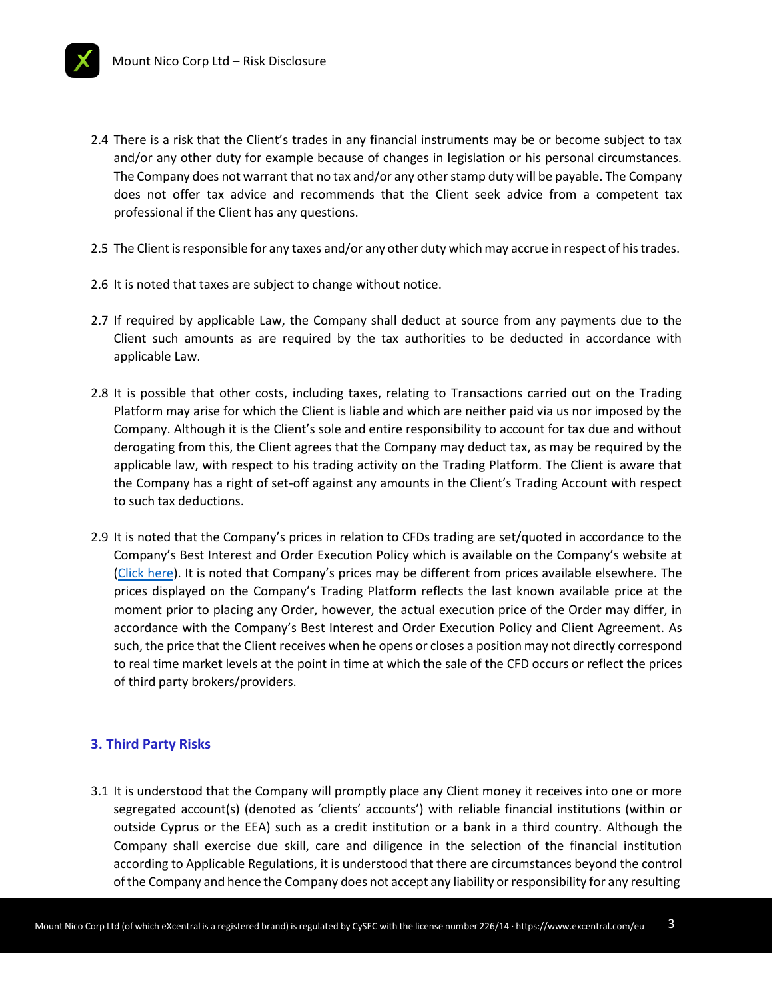- 2.4 There is a risk that the Client's trades in any financial instruments may be or become subject to tax and/or any other duty for example because of changes in legislation or his personal circumstances. The Company does not warrant that no tax and/or any other stamp duty will be payable. The Company does not offer tax advice and recommends that the Client seek advice from a competent tax professional if the Client has any questions.
- 2.5 The Client is responsible for any taxes and/or any other duty which may accrue in respect of his trades.
- 2.6 It is noted that taxes are subject to change without notice.
- 2.7 If required by applicable Law, the Company shall deduct at source from any payments due to the Client such amounts as are required by the tax authorities to be deducted in accordance with applicable Law.
- 2.8 It is possible that other costs, including taxes, relating to Transactions carried out on the Trading Platform may arise for which the Client is liable and which are neither paid via us nor imposed by the Company. Although it is the Client's sole and entire responsibility to account for tax due and without derogating from this, the Client agrees that the Company may deduct tax, as may be required by the applicable law, with respect to his trading activity on the Trading Platform. The Client is aware that the Company has a right of set-off against any amounts in the Client's Trading Account with respect to such tax deductions.
- 2.9 It is noted that the Company's prices in relation to CFDs trading are set/quoted in accordance to the Company's Best Interest and Order Execution Policy which is available on the Company's website at [\(Click here](https://www.excentral.com/eu/terms-and-conditions/bestinterest-and-orderexecution-policy/)). It is noted that Company's prices may be different from prices available elsewhere. The prices displayed on the Company's Trading Platform reflects the last known available price at the moment prior to placing any Order, however, the actual execution price of the Order may differ, in accordance with the Company's Best Interest and Order Execution Policy and Client Agreement. As such, the price that the Client receives when he opens or closes a position may not directly correspond to real time market levels at the point in time at which the sale of the CFD occurs or reflect the prices of third party brokers/providers.

# **3. Third Party Risks**

3.1 It is understood that the Company will promptly place any Client money it receives into one or more segregated account(s) (denoted as 'clients' accounts') with reliable financial institutions (within or outside Cyprus or the EEA) such as a credit institution or a bank in a third country. Although the Company shall exercise due skill, care and diligence in the selection of the financial institution according to Applicable Regulations, it is understood that there are circumstances beyond the control ofthe Company and hence the Company does not accept any liability orresponsibility for any resulting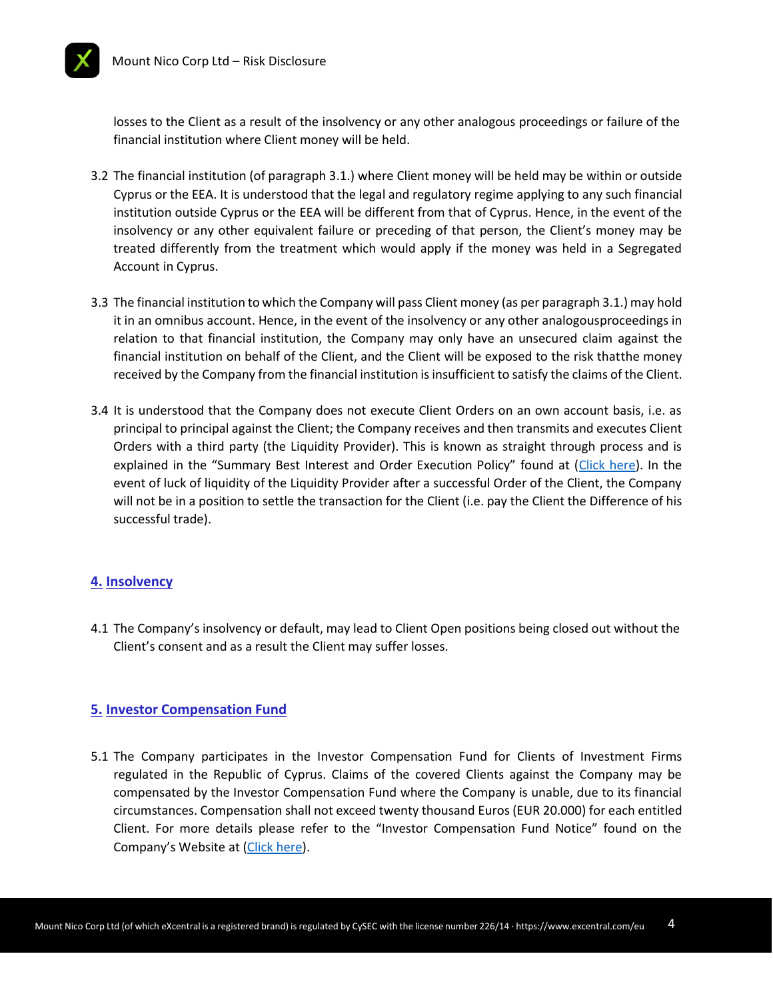

losses to the Client as a result of the insolvency or any other analogous proceedings or failure of the financial institution where Client money will be held.

- 3.2 The financial institution (of paragraph 3.1.) where Client money will be held may be within or outside Cyprus or the EEA. It is understood that the legal and regulatory regime applying to any such financial institution outside Cyprus or the EEA will be different from that of Cyprus. Hence, in the event of the insolvency or any other equivalent failure or preceding of that person, the Client's money may be treated differently from the treatment which would apply if the money was held in a Segregated Account in Cyprus.
- 3.3 The financial institution to which the Company will pass Client money (as per paragraph 3.1.) may hold it in an omnibus account. Hence, in the event of the insolvency or any other analogousproceedings in relation to that financial institution, the Company may only have an unsecured claim against the financial institution on behalf of the Client, and the Client will be exposed to the risk thatthe money received by the Company from the financial institution is insufficient to satisfy the claims of the Client.
- 3.4 It is understood that the Company does not execute Client Orders on an own account basis, i.e. as principal to principal against the Client; the Company receives and then transmits and executes Client Orders with a third party (the Liquidity Provider). This is known as straight through process and is explained in the "Summary Best Interest and Order Execution Policy" found at ([Click here\)](https://www.excentral.com/eu/terms-and-conditions/bestinterest-and-orderexecution-policy/). In the event of luck of liquidity of the Liquidity Provider after a successful Order of the Client, the Company will not be in a position to settle the transaction for the Client (i.e. pay the Client the Difference of his successful trade).

# **4. Insolvency**

4.1 The Company's insolvency or default, may lead to Client Open positions being closed out without the Client's consent and as a result the Client may suffer losses.

# **5. Investor Compensation Fund**

5.1 The Company participates in the Investor Compensation Fund for Clients of Investment Firms regulated in the Republic of Cyprus. Claims of the covered Clients against the Company may be compensated by the Investor Compensation Fund where the Company is unable, due to its financial circumstances. Compensation shall not exceed twenty thousand Euros (EUR 20.000) for each entitled Client. For more details please refer to the "Investor Compensation Fund Notice" found on the Company's Website at [\(Click](https://www.excentral.com/eu/terms-and-conditions/investor-compensation-fund/) here).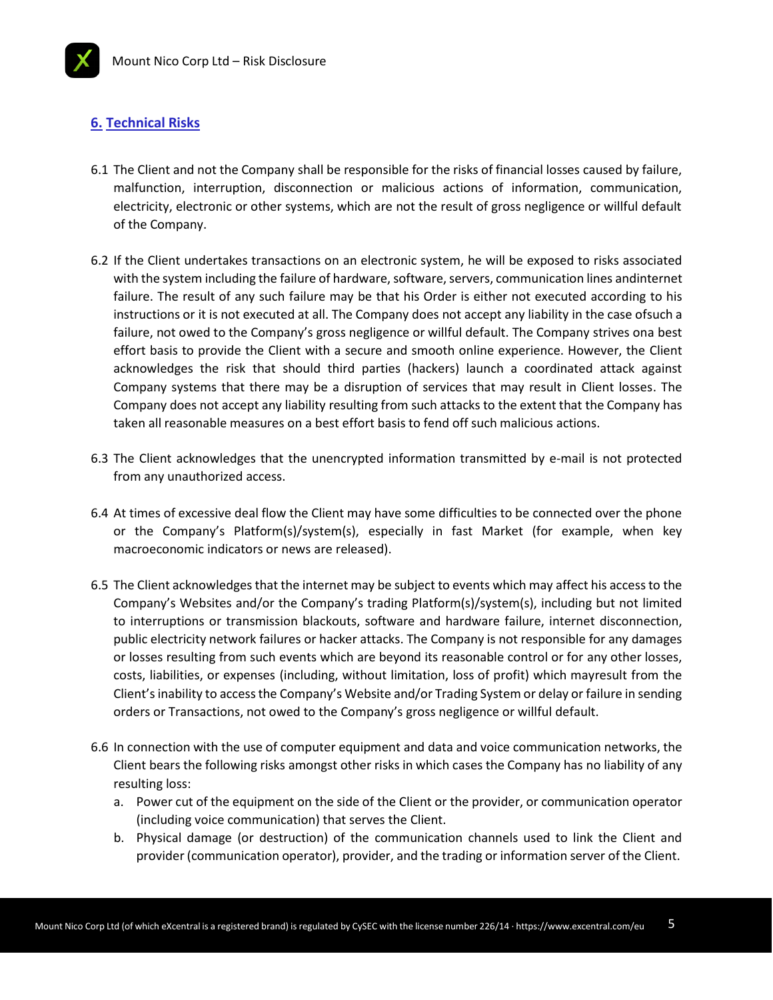## **6. Technical Risks**

- 6.1 The Client and not the Company shall be responsible for the risks of financial losses caused by failure, malfunction, interruption, disconnection or malicious actions of information, communication, electricity, electronic or other systems, which are not the result of gross negligence or willful default of the Company.
- 6.2 If the Client undertakes transactions on an electronic system, he will be exposed to risks associated with the system including the failure of hardware, software, servers, communication lines andinternet failure. The result of any such failure may be that his Order is either not executed according to his instructions or it is not executed at all. The Company does not accept any liability in the case ofsuch a failure, not owed to the Company's gross negligence or willful default. The Company strives ona best effort basis to provide the Client with a secure and smooth online experience. However, the Client acknowledges the risk that should third parties (hackers) launch a coordinated attack against Company systems that there may be a disruption of services that may result in Client losses. The Company does not accept any liability resulting from such attacks to the extent that the Company has taken all reasonable measures on a best effort basis to fend off such malicious actions.
- 6.3 The Client acknowledges that the unencrypted information transmitted by e-mail is not protected from any unauthorized access.
- 6.4 At times of excessive deal flow the Client may have some difficulties to be connected over the phone or the Company's Platform(s)/system(s), especially in fast Market (for example, when key macroeconomic indicators or news are released).
- 6.5 The Client acknowledges that the internet may be subject to events which may affect his access to the Company's Websites and/or the Company's trading Platform(s)/system(s), including but not limited to interruptions or transmission blackouts, software and hardware failure, internet disconnection, public electricity network failures or hacker attacks. The Company is not responsible for any damages or losses resulting from such events which are beyond its reasonable control or for any other losses, costs, liabilities, or expenses (including, without limitation, loss of profit) which mayresult from the Client's inability to access the Company's Website and/or Trading System or delay or failure in sending orders or Transactions, not owed to the Company's gross negligence or willful default.
- 6.6 In connection with the use of computer equipment and data and voice communication networks, the Client bears the following risks amongst other risks in which cases the Company has no liability of any resulting loss:
	- a. Power cut of the equipment on the side of the Client or the provider, or communication operator (including voice communication) that serves the Client.
	- b. Physical damage (or destruction) of the communication channels used to link the Client and provider (communication operator), provider, and the trading or information server of the Client.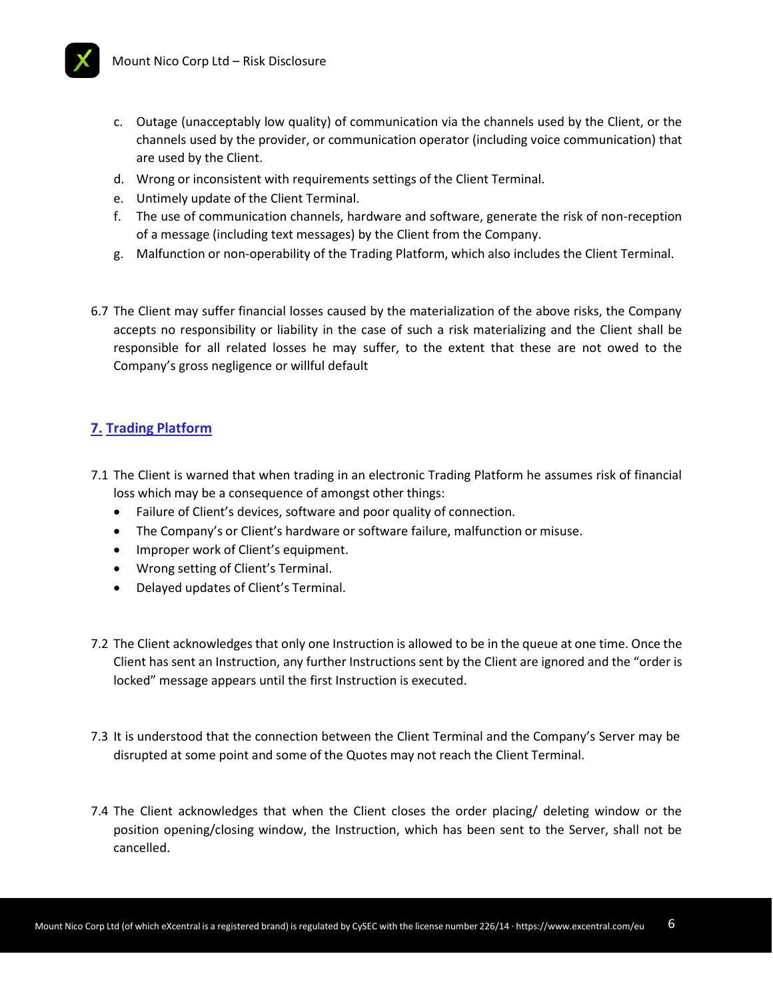

- c. Outage (unacceptably low quality) of communication via the channels used by the Client, or the channels used by the provider, or communication operator (including voice communication) that are used by the Client.
- d. Wrong or inconsistent with requirements settings of the Client Terminal.
- e. Untimely update of the Client Terminal.
- f. The use of communication channels, hardware and software, generate the risk of non-reception of a message (including text messages) by the Client from the Company.
- g. Malfunction or non-operability of the Trading Platform, which also includes the Client Terminal.
- 6.7 The Client may suffer financial losses caused by the materialization of the above risks, the Company accepts no responsibility or liability in the case of such a risk materializing and the Client shall be responsible for all related losses he may suffer, to the extent that these are not owed to the Company's gross negligence or willful default

# **7. Trading Platform**

- 7.1 The Client is warned that when trading in an electronic Trading Platform he assumes risk of financial loss which may be a consequence of amongst other things:
	- Failure of Client's devices, software and poor quality of connection.
	- The Company's or Client's hardware or software failure, malfunction or misuse.
	- Improper work of Client's equipment.
	- Wrong setting of Client's Terminal.
	- Delayed updates of Client's Terminal.
- 7.2 The Client acknowledges that only one Instruction is allowed to be in the queue at one time. Once the Client has sent an Instruction, any further Instructions sent by the Client are ignored and the "order is locked" message appears until the first Instruction is executed.
- 7.3 It is understood that the connection between the Client Terminal and the Company's Server may be disrupted at some point and some of the Quotes may not reach the Client Terminal.
- 7.4 The Client acknowledges that when the Client closes the order placing/ deleting window or the position opening/closing window, the Instruction, which has been sent to the Server, shall not be cancelled.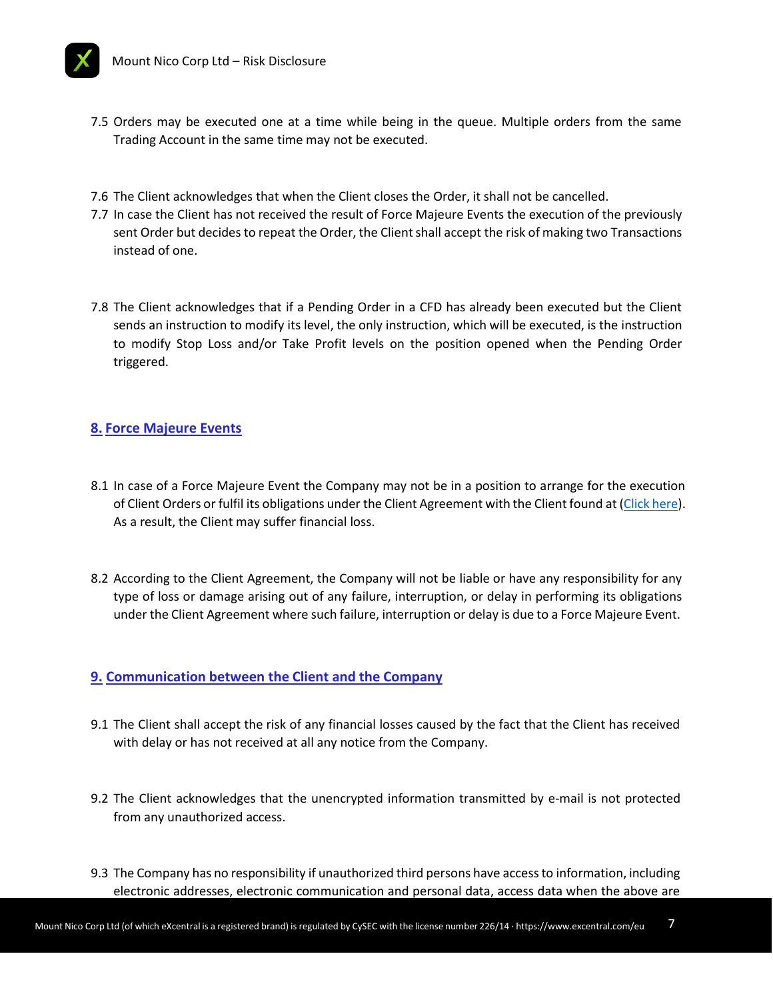

- 7.5 Orders may be executed one at a time while being in the queue. Multiple orders from the same Trading Account in the same time may not be executed.
- 7.6 The Client acknowledges that when the Client closes the Order, it shall not be cancelled.
- 7.7 In case the Client has not received the result of Force Majeure Events the execution of the previously sent Order but decides to repeat the Order, the Client shall accept the risk of making two Transactions instead of one.
- 7.8 The Client acknowledges that if a Pending Order in a CFD has already been executed but the Client sends an instruction to modify its level, the only instruction, which will be executed, is the instruction to modify Stop Loss and/or Take Profit levels on the position opened when the Pending Order triggered.

# **8. Force Majeure Events**

- 8.1 In case of a Force Majeure Event the Company may not be in a position to arrange for the execution of Client Orders or fulfil its obligations under the Client Agreement with the Client found at [\(Click](https://www.excentral.com/eu/terms-and-conditions/) here). As a result, the Client may suffer financial loss.
- 8.2 According to the Client Agreement, the Company will not be liable or have any responsibility for any type of loss or damage arising out of any failure, interruption, or delay in performing its obligations under the Client Agreement where such failure, interruption or delay is due to a Force Majeure Event.

#### **9. Communication between the Client and the Company**

- 9.1 The Client shall accept the risk of any financial losses caused by the fact that the Client has received with delay or has not received at all any notice from the Company.
- 9.2 The Client acknowledges that the unencrypted information transmitted by e-mail is not protected from any unauthorized access.
- 9.3 The Company has no responsibility if unauthorized third persons have access to information, including electronic addresses, electronic communication and personal data, access data when the above are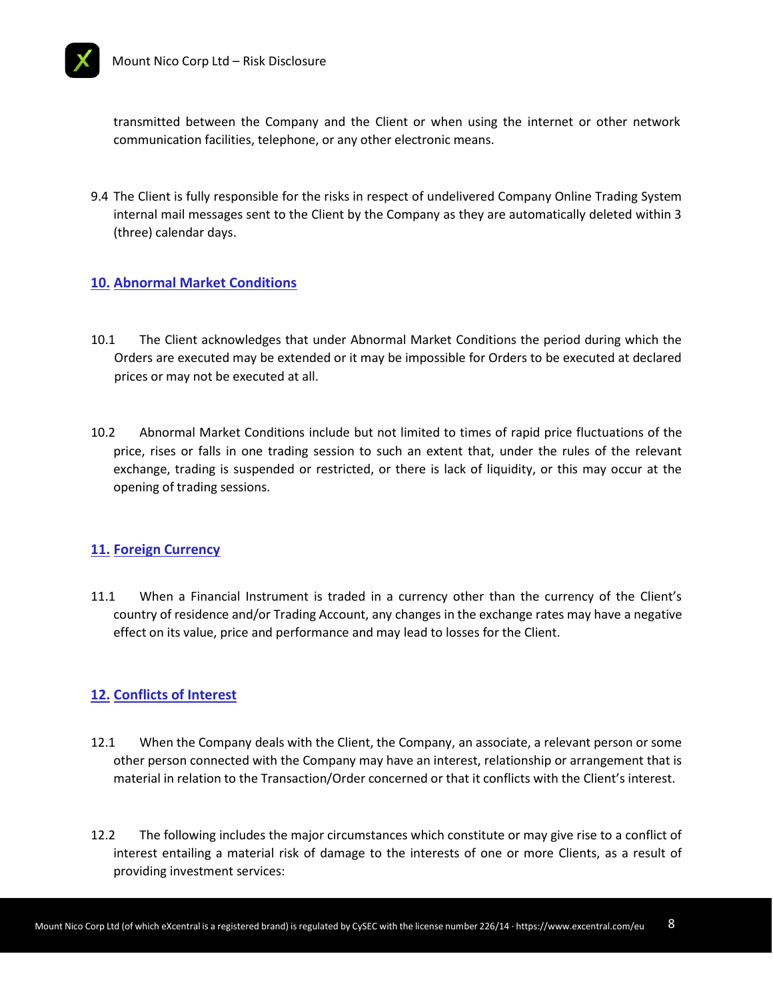



transmitted between the Company and the Client or when using the internet or other network communication facilities, telephone, or any other electronic means.

9.4 The Client is fully responsible for the risks in respect of undelivered Company Online Trading System internal mail messages sent to the Client by the Company as they are automatically deleted within 3 (three) calendar days.

# **10. Abnormal Market Conditions**

- 10.1 The Client acknowledges that under Abnormal Market Conditions the period during which the Orders are executed may be extended or it may be impossible for Orders to be executed at declared prices or may not be executed at all.
- 10.2 Abnormal Market Conditions include but not limited to times of rapid price fluctuations of the price, rises or falls in one trading session to such an extent that, under the rules of the relevant exchange, trading is suspended or restricted, or there is lack of liquidity, or this may occur at the opening of trading sessions.

# **11. Foreign Currency**

11.1 When a Financial Instrument is traded in a currency other than the currency of the Client's country of residence and/or Trading Account, any changes in the exchange rates may have a negative effect on its value, price and performance and may lead to losses for the Client.

# **12. Conflicts of Interest**

- 12.1 When the Company deals with the Client, the Company, an associate, a relevant person or some other person connected with the Company may have an interest, relationship or arrangement that is material in relation to the Transaction/Order concerned or that it conflicts with the Client's interest.
- 12.2 The following includes the major circumstances which constitute or may give rise to a conflict of interest entailing a material risk of damage to the interests of one or more Clients, as a result of providing investment services: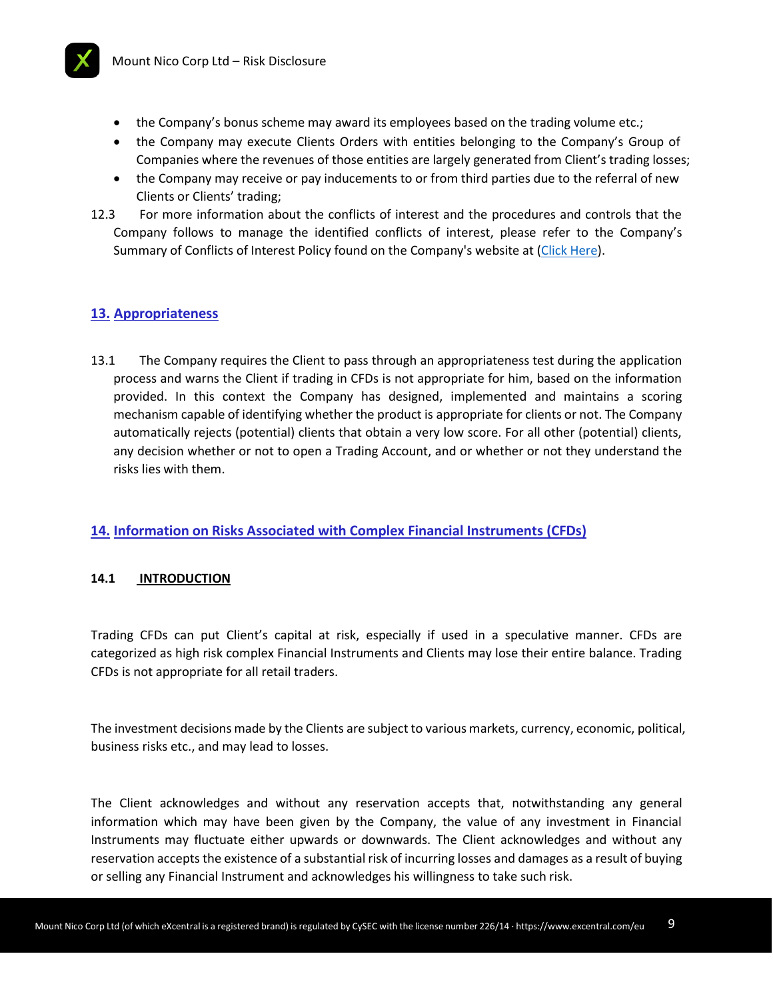

- the Company's bonus scheme may award its employees based on the trading volume etc.;
- the Company may execute Clients Orders with entities belonging to the Company's Group of Companies where the revenues of those entities are largely generated from Client's trading losses;
- the Company may receive or pay inducements to or from third parties due to the referral of new Clients or Clients' trading;
- 12.3 For more information about the conflicts of interest and the procedures and controls that the Company follows to manage the identified conflicts of interest, please refer to the Company's Summary of Conflicts of Interest Policy found on the Company's website at (Click [Here\)](https://www.excentral.com/eu/terms-and-conditions/conflicts-of-interest-policy/).

# **13. Appropriateness**

13.1 The Company requires the Client to pass through an appropriateness test during the application process and warns the Client if trading in CFDs is not appropriate for him, based on the information provided. In this context the Company has designed, implemented and maintains a scoring mechanism capable of identifying whether the product is appropriate for clients or not. The Company automatically rejects (potential) clients that obtain a very low score. For all other (potential) clients, any decision whether or not to open a Trading Account, and or whether or not they understand the risks lies with them.

# **14. Information on Risks Associated with Complex Financial Instruments (CFDs)**

#### **14.1 INTRODUCTION**

Trading CFDs can put Client's capital at risk, especially if used in a speculative manner. CFDs are categorized as high risk complex Financial Instruments and Clients may lose their entire balance. Trading CFDs is not appropriate for all retail traders.

The investment decisions made by the Clients are subject to various markets, currency, economic, political, business risks etc., and may lead to losses.

The Client acknowledges and without any reservation accepts that, notwithstanding any general information which may have been given by the Company, the value of any investment in Financial Instruments may fluctuate either upwards or downwards. The Client acknowledges and without any reservation accepts the existence of a substantial risk of incurring losses and damages as a result of buying or selling any Financial Instrument and acknowledges his willingness to take such risk.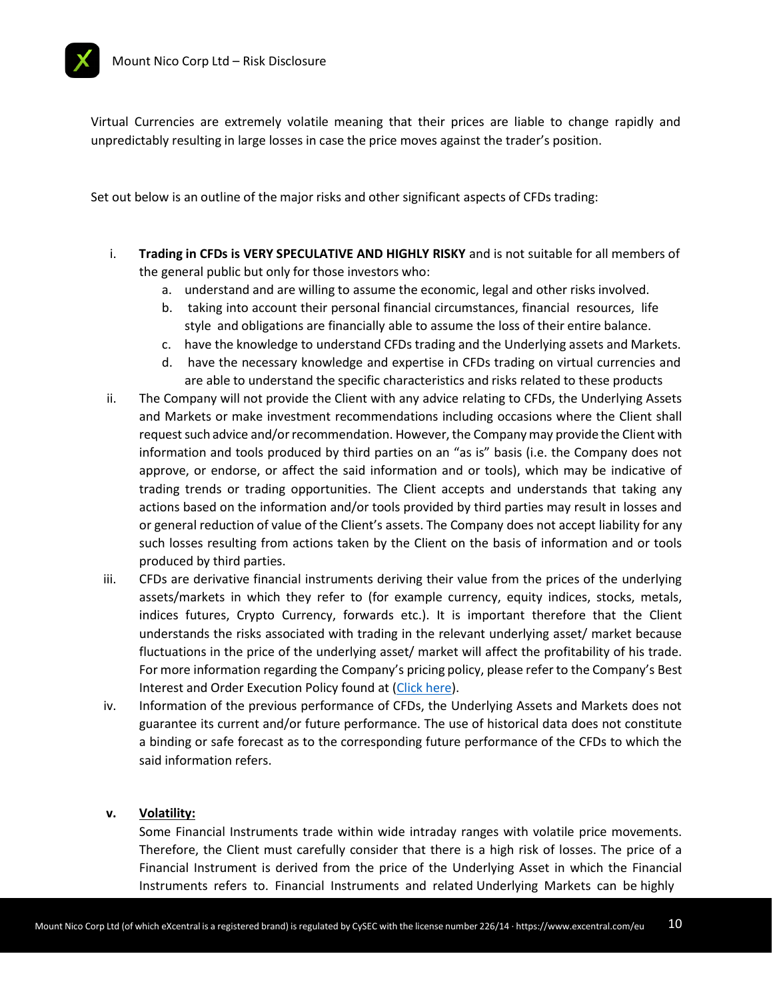

Virtual Currencies are extremely volatile meaning that their prices are liable to change rapidly and unpredictably resulting in large losses in case the price moves against the trader's position.

Set out below is an outline of the major risks and other significant aspects of CFDs trading:

- i. **Trading in CFDs is VERY SPECULATIVE AND HIGHLY RISKY** and is not suitable for all members of the general public but only for those investors who:
	- a. understand and are willing to assume the economic, legal and other risks involved.
	- b. taking into account their personal financial circumstances, financial resources, life style and obligations are financially able to assume the loss of their entire balance.
	- c. have the knowledge to understand CFDs trading and the Underlying assets and Markets.
	- d. have the necessary knowledge and expertise in CFDs trading on virtual currencies and are able to understand the specific characteristics and risks related to these products
- ii. The Company will not provide the Client with any advice relating to CFDs, the Underlying Assets and Markets or make investment recommendations including occasions where the Client shall request such advice and/or recommendation. However, the Company may provide the Client with information and tools produced by third parties on an "as is" basis (i.e. the Company does not approve, or endorse, or affect the said information and or tools), which may be indicative of trading trends or trading opportunities. The Client accepts and understands that taking any actions based on the information and/or tools provided by third parties may result in losses and or general reduction of value of the Client's assets. The Company does not accept liability for any such losses resulting from actions taken by the Client on the basis of information and or tools produced by third parties.
- iii. CFDs are derivative financial instruments deriving their value from the prices of the underlying assets/markets in which they refer to (for example currency, equity indices, stocks, metals, indices futures, Crypto Currency, forwards etc.). It is important therefore that the Client understands the risks associated with trading in the relevant underlying asset/ market because fluctuations in the price of the underlying asset/ market will affect the profitability of his trade. For more information regarding the Company's pricing policy, please refer to the Company's Best Interest and Order Execution Policy found at [\(Click](https://www.excentral.com/eu/terms-and-conditions/bestinterest-and-orderexecution-policy/) here).
- iv. Information of the previous performance of CFDs, the Underlying Assets and Markets does not guarantee its current and/or future performance. The use of historical data does not constitute a binding or safe forecast as to the corresponding future performance of the CFDs to which the said information refers.

#### **v. Volatility:**

Some Financial Instruments trade within wide intraday ranges with volatile price movements. Therefore, the Client must carefully consider that there is a high risk of losses. The price of a Financial Instrument is derived from the price of the Underlying Asset in which the Financial Instruments refers to. Financial Instruments and related Underlying Markets can be highly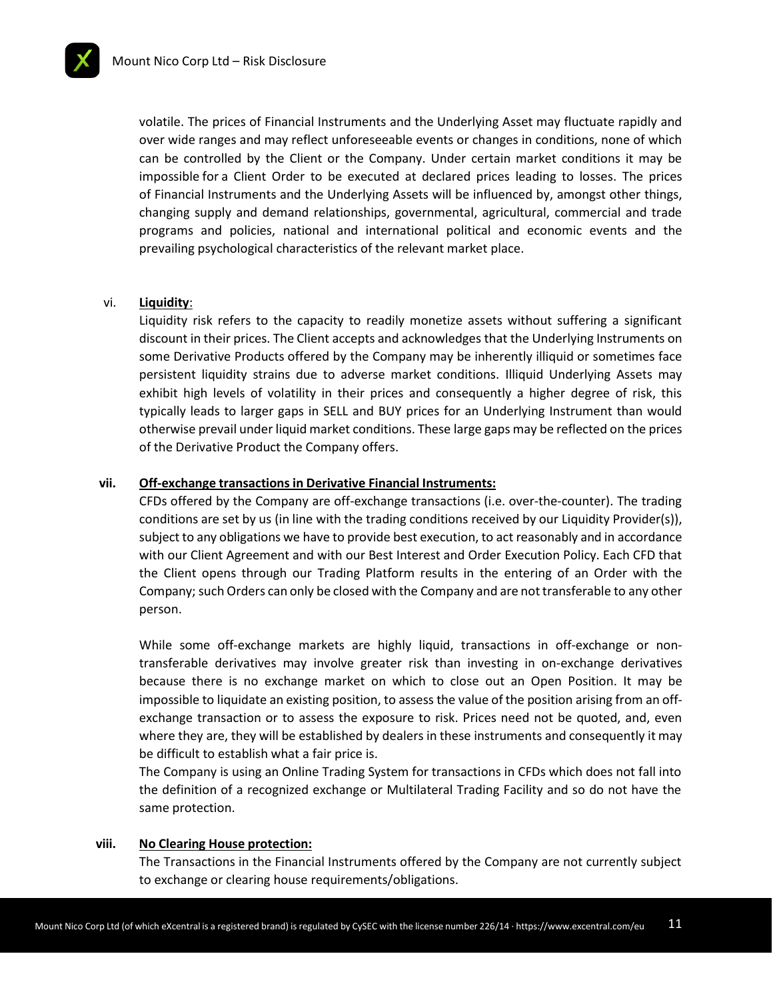

volatile. The prices of Financial Instruments and the Underlying Asset may fluctuate rapidly and over wide ranges and may reflect unforeseeable events or changes in conditions, none of which can be controlled by the Client or the Company. Under certain market conditions it may be impossible for a Client Order to be executed at declared prices leading to losses. The prices of Financial Instruments and the Underlying Assets will be influenced by, amongst other things, changing supply and demand relationships, governmental, agricultural, commercial and trade programs and policies, national and international political and economic events and the prevailing psychological characteristics of the relevant market place.

#### vi. **Liquidity**:

Liquidity risk refers to the capacity to readily monetize assets without suffering a significant discount in their prices. The Client accepts and acknowledges that the Underlying Instruments on some Derivative Products offered by the Company may be inherently illiquid or sometimes face persistent liquidity strains due to adverse market conditions. Illiquid Underlying Assets may exhibit high levels of volatility in their prices and consequently a higher degree of risk, this typically leads to larger gaps in SELL and BUY prices for an Underlying Instrument than would otherwise prevail under liquid market conditions. These large gaps may be reflected on the prices of the Derivative Product the Company offers.

#### **vii. Off-exchange transactions in Derivative Financial Instruments:**

CFDs offered by the Company are off-exchange transactions (i.e. over-the-counter). The trading conditions are set by us (in line with the trading conditions received by our Liquidity Provider(s)), subject to any obligations we have to provide best execution, to act reasonably and in accordance with our Client Agreement and with our Best Interest and Order Execution Policy. Each CFD that the Client opens through our Trading Platform results in the entering of an Order with the Company; such Orders can only be closed with the Company and are not transferable to any other person.

While some off-exchange markets are highly liquid, transactions in off-exchange or nontransferable derivatives may involve greater risk than investing in on-exchange derivatives because there is no exchange market on which to close out an Open Position. It may be impossible to liquidate an existing position, to assess the value of the position arising from an offexchange transaction or to assess the exposure to risk. Prices need not be quoted, and, even where they are, they will be established by dealers in these instruments and consequently it may be difficult to establish what a fair price is.

The Company is using an Online Trading System for transactions in CFDs which does not fall into the definition of a recognized exchange or Multilateral Trading Facility and so do not have the same protection.

#### **viii. No Clearing House protection:**

The Transactions in the Financial Instruments offered by the Company are not currently subject to exchange or clearing house requirements/obligations.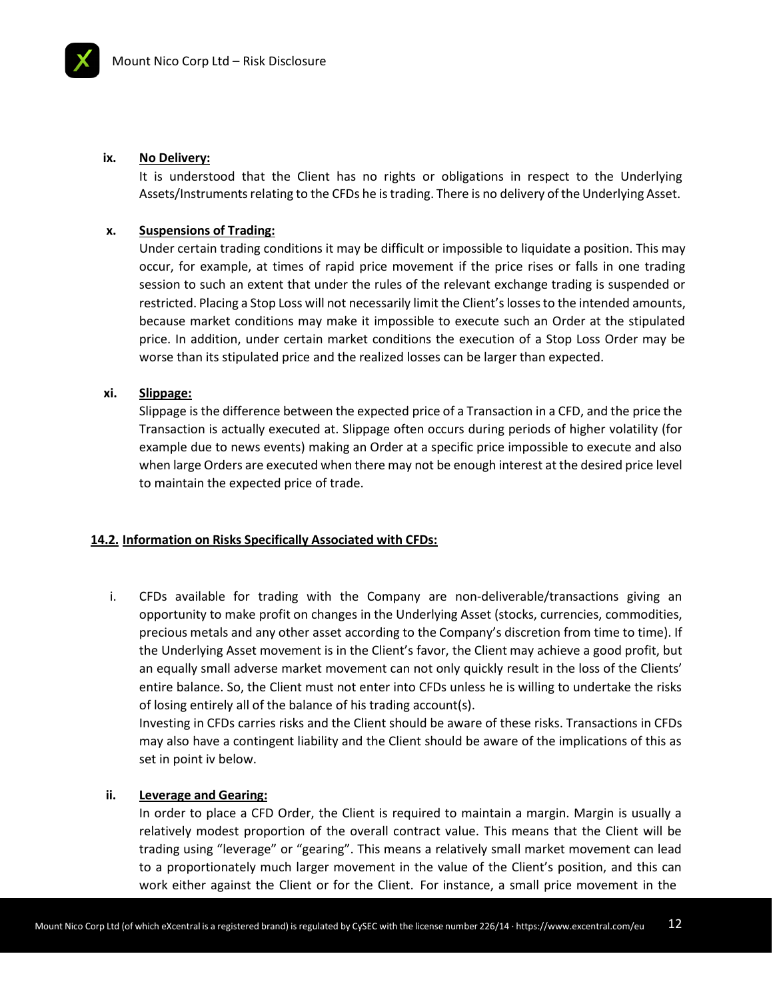#### **ix. No Delivery:**

It is understood that the Client has no rights or obligations in respect to the Underlying Assets/Instruments relating to the CFDs he is trading. There is no delivery of the Underlying Asset.

#### **x. Suspensions of Trading:**

Under certain trading conditions it may be difficult or impossible to liquidate a position. This may occur, for example, at times of rapid price movement if the price rises or falls in one trading session to such an extent that under the rules of the relevant exchange trading is suspended or restricted. Placing a Stop Loss will not necessarily limit the Client'slossesto the intended amounts, because market conditions may make it impossible to execute such an Order at the stipulated price. In addition, under certain market conditions the execution of a Stop Loss Order may be worse than its stipulated price and the realized losses can be larger than expected.

#### **xi. Slippage:**

Slippage is the difference between the expected price of a Transaction in a CFD, and the price the Transaction is actually executed at. Slippage often occurs during periods of higher volatility (for example due to news events) making an Order at a specific price impossible to execute and also when large Orders are executed when there may not be enough interest at the desired price level to maintain the expected price of trade.

#### **14.2. Information on Risks Specifically Associated with CFDs:**

i. CFDs available for trading with the Company are non-deliverable/transactions giving an opportunity to make profit on changes in the Underlying Asset (stocks, currencies, commodities, precious metals and any other asset according to the Company's discretion from time to time). If the Underlying Asset movement is in the Client's favor, the Client may achieve a good profit, but an equally small adverse market movement can not only quickly result in the loss of the Clients' entire balance. So, the Client must not enter into CFDs unless he is willing to undertake the risks of losing entirely all of the balance of his trading account(s).

Investing in CFDs carries risks and the Client should be aware of these risks. Transactions in CFDs may also have a contingent liability and the Client should be aware of the implications of this as set in point iv below.

#### **ii. Leverage and Gearing:**

In order to place a CFD Order, the Client is required to maintain a margin. Margin is usually a relatively modest proportion of the overall contract value. This means that the Client will be trading using "leverage" or "gearing". This means a relatively small market movement can lead to a proportionately much larger movement in the value of the Client's position, and this can work either against the Client or for the Client. For instance, a small price movement in the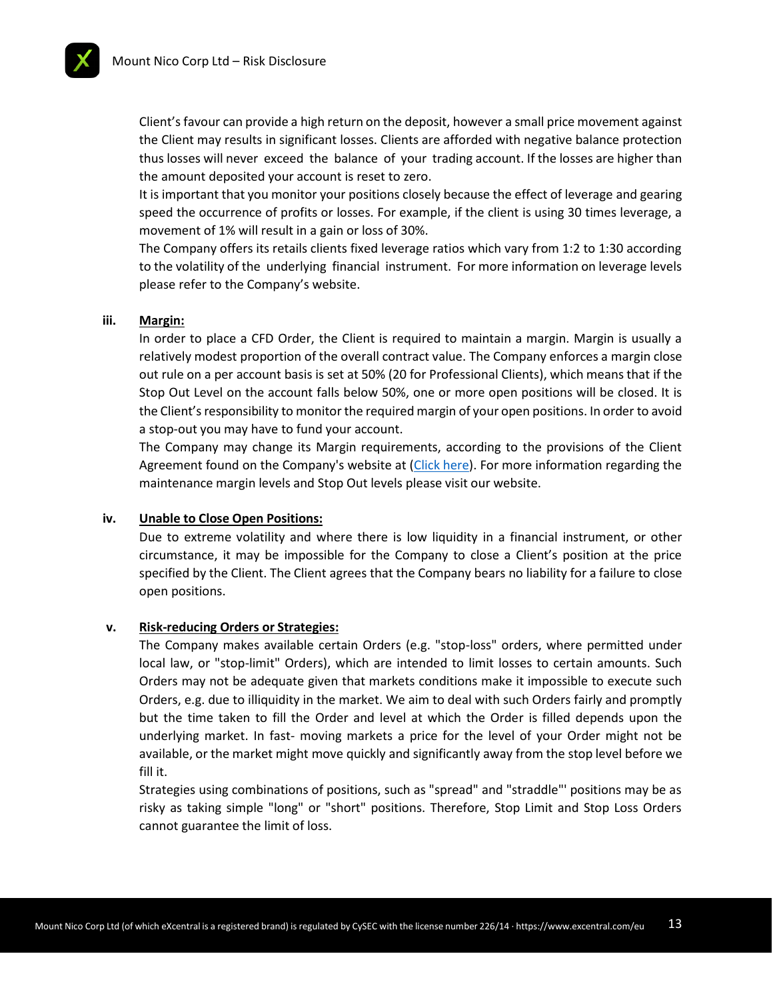

Client's favour can provide a high return on the deposit, however a small price movement against the Client may results in significant losses. Clients are afforded with negative balance protection thus losses will never exceed the balance of your trading account. If the losses are higher than the amount deposited your account is reset to zero.

It is important that you monitor your positions closely because the effect of leverage and gearing speed the occurrence of profits or losses. For example, if the client is using 30 times leverage, a movement of 1% will result in a gain or loss of 30%.

The Company offers its retails clients fixed leverage ratios which vary from 1:2 to 1:30 according to the volatility of the underlying financial instrument. For more information on leverage levels please refer to the Company's website.

#### **iii. Margin:**

In order to place a CFD Order, the Client is required to maintain a margin. Margin is usually a relatively modest proportion of the overall contract value. The Company enforces a margin close out rule on a per account basis is set at 50% (20 for Professional Clients), which means that if the Stop Out Level on the account falls below 50%, one or more open positions will be closed. It is the Client's responsibility to monitor the required margin of your open positions. In order to avoid a stop-out you may have to fund your account.

The Company may change its Margin requirements, according to the provisions of the Client Agreement found on the Company's website at [\(Click here\)](https://www.excentral.com/eu/terms-and-conditions/). For more information regarding the maintenance margin levels and Stop Out levels please visit our website.

#### **iv. Unable to Close Open Positions:**

Due to extreme volatility and where there is low liquidity in a financial instrument, or other circumstance, it may be impossible for the Company to close a Client's position at the price specified by the Client. The Client agrees that the Company bears no liability for a failure to close open positions.

#### **v. Risk-reducing Orders or Strategies:**

The Company makes available certain Orders (e.g. "stop-loss" orders, where permitted under local law, or "stop-limit" Orders), which are intended to limit losses to certain amounts. Such Orders may not be adequate given that markets conditions make it impossible to execute such Orders, e.g. due to illiquidity in the market. We aim to deal with such Orders fairly and promptly but the time taken to fill the Order and level at which the Order is filled depends upon the underlying market. In fast- moving markets a price for the level of your Order might not be available, or the market might move quickly and significantly away from the stop level before we fill it.

Strategies using combinations of positions, such as "spread" and "straddle"' positions may be as risky as taking simple "long" or "short" positions. Therefore, Stop Limit and Stop Loss Orders cannot guarantee the limit of loss.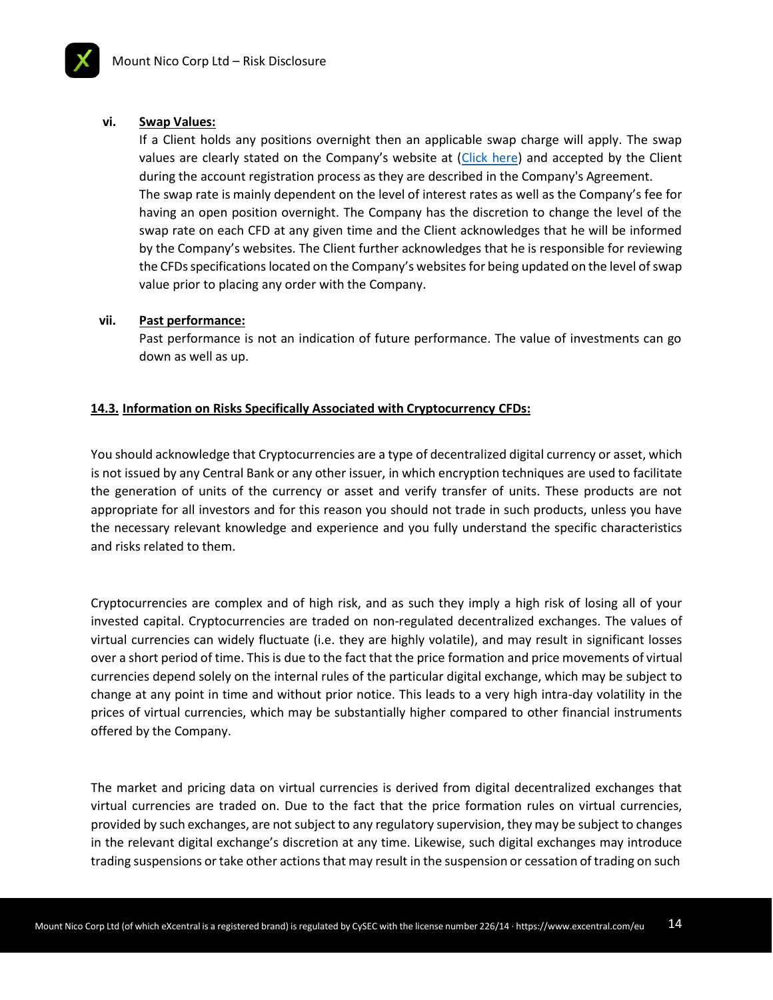#### **vi. Swap Values:**

If a Client holds any positions overnight then an applicable swap charge will apply. The swap values are clearly stated on the Company's website at ([Click here\)](https://www.excentral.com/eu/) and accepted by the Client during the account registration process as they are described in the Company's Agreement. The swap rate is mainly dependent on the level of interest rates as well as the Company's fee for having an open position overnight. The Company has the discretion to change the level of the swap rate on each CFD at any given time and the Client acknowledges that he will be informed by the Company's websites. The Client further acknowledges that he is responsible for reviewing the CFDs specifications located on the Company's websites for being updated on the level of swap value prior to placing any order with the Company.

#### **vii. Past performance:**

Past performance is not an indication of future performance. The value of investments can go down as well as up.

#### **14.3. Information on Risks Specifically Associated with Cryptocurrency CFDs:**

You should acknowledge that Cryptocurrencies are a type of decentralized digital currency or asset, which is not issued by any Central Bank or any other issuer, in which encryption techniques are used to facilitate the generation of units of the currency or asset and verify transfer of units. These products are not appropriate for all investors and for this reason you should not trade in such products, unless you have the necessary relevant knowledge and experience and you fully understand the specific characteristics and risks related to them.

Cryptocurrencies are complex and of high risk, and as such they imply a high risk of losing all of your invested capital. Cryptocurrencies are traded on non-regulated decentralized exchanges. The values of virtual currencies can widely fluctuate (i.e. they are highly volatile), and may result in significant losses over a short period of time. This is due to the fact that the price formation and price movements of virtual currencies depend solely on the internal rules of the particular digital exchange, which may be subject to change at any point in time and without prior notice. This leads to a very high intra-day volatility in the prices of virtual currencies, which may be substantially higher compared to other financial instruments offered by the Company.

The market and pricing data on virtual currencies is derived from digital decentralized exchanges that virtual currencies are traded on. Due to the fact that the price formation rules on virtual currencies, provided by such exchanges, are notsubject to any regulatory supervision, they may be subject to changes in the relevant digital exchange's discretion at any time. Likewise, such digital exchanges may introduce trading suspensions or take other actions that may result in the suspension or cessation of trading on such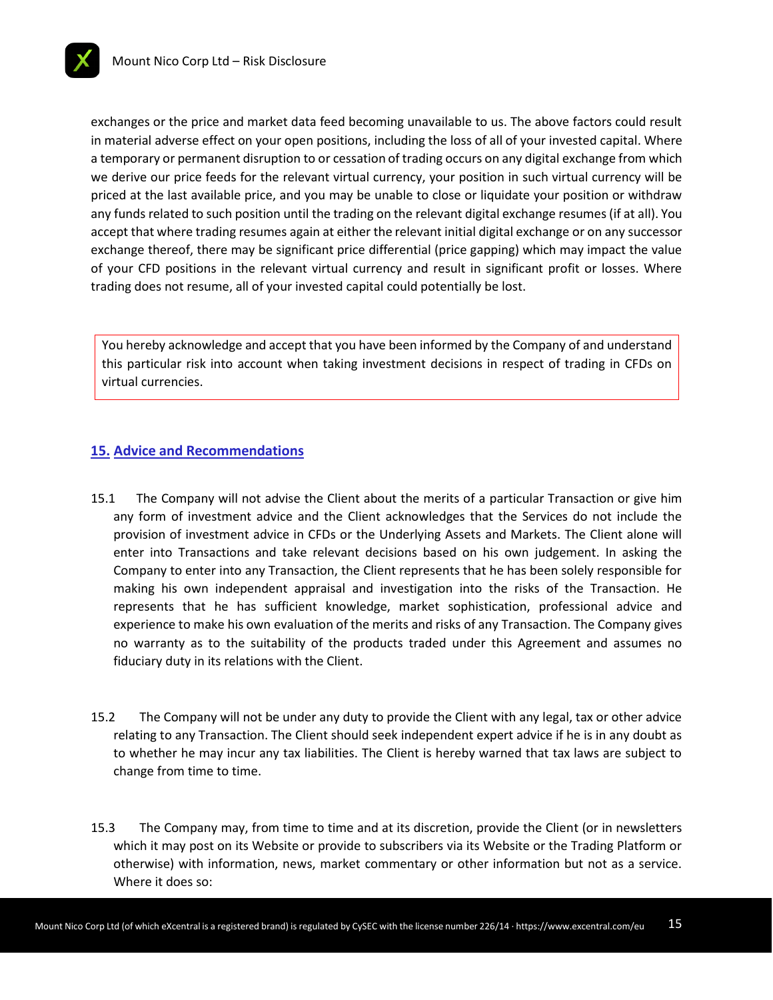

exchanges or the price and market data feed becoming unavailable to us. The above factors could result in material adverse effect on your open positions, including the loss of all of your invested capital. Where a temporary or permanent disruption to or cessation of trading occurs on any digital exchange from which we derive our price feeds for the relevant virtual currency, your position in such virtual currency will be priced at the last available price, and you may be unable to close or liquidate your position or withdraw any funds related to such position until the trading on the relevant digital exchange resumes(if at all). You accept that where trading resumes again at either the relevant initial digital exchange or on any successor exchange thereof, there may be significant price differential (price gapping) which may impact the value of your CFD positions in the relevant virtual currency and result in significant profit or losses. Where trading does not resume, all of your invested capital could potentially be lost.

You hereby acknowledge and accept that you have been informed by the Company of and understand this particular risk into account when taking investment decisions in respect of trading in CFDs on virtual currencies.

# **15. Advice and Recommendations**

- 15.1 The Company will not advise the Client about the merits of a particular Transaction or give him any form of investment advice and the Client acknowledges that the Services do not include the provision of investment advice in CFDs or the Underlying Assets and Markets. The Client alone will enter into Transactions and take relevant decisions based on his own judgement. In asking the Company to enter into any Transaction, the Client represents that he has been solely responsible for making his own independent appraisal and investigation into the risks of the Transaction. He represents that he has sufficient knowledge, market sophistication, professional advice and experience to make his own evaluation of the merits and risks of any Transaction. The Company gives no warranty as to the suitability of the products traded under this Agreement and assumes no fiduciary duty in its relations with the Client.
- 15.2 The Company will not be under any duty to provide the Client with any legal, tax or other advice relating to any Transaction. The Client should seek independent expert advice if he is in any doubt as to whether he may incur any tax liabilities. The Client is hereby warned that tax laws are subject to change from time to time.
- 15.3 The Company may, from time to time and at its discretion, provide the Client (or in newsletters which it may post on its Website or provide to subscribers via its Website or the Trading Platform or otherwise) with information, news, market commentary or other information but not as a service. Where it does so: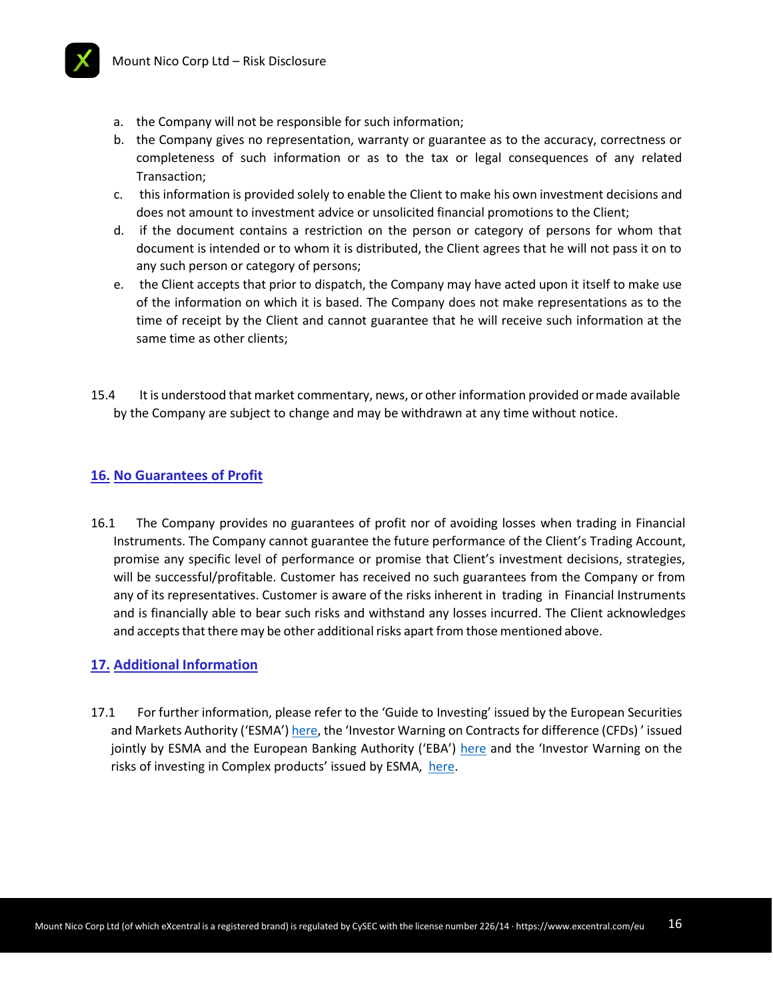

- a. the Company will not be responsible for such information;
- b. the Company gives no representation, warranty or guarantee as to the accuracy, correctness or completeness of such information or as to the tax or legal consequences of any related Transaction;
- c. this information is provided solely to enable the Client to make his own investment decisions and does not amount to investment advice or unsolicited financial promotions to the Client;
- d. if the document contains a restriction on the person or category of persons for whom that document is intended or to whom it is distributed, the Client agrees that he will not pass it on to any such person or category of persons;
- e. the Client accepts that prior to dispatch, the Company may have acted upon it itself to make use of the information on which it is based. The Company does not make representations as to the time of receipt by the Client and cannot guarantee that he will receive such information at the same time as other clients;
- 15.4 It is understood that market commentary, news, or other information provided ormade available by the Company are subject to change and may be withdrawn at any time without notice.

# **16. No Guarantees of Profit**

16.1 The Company provides no guarantees of profit nor of avoiding losses when trading in Financial Instruments. The Company cannot guarantee the future performance of the Client's Τrading Αccount, promise any specific level of performance or promise that Client's investment decisions, strategies, will be successful/profitable. Customer has received no such guarantees from the Company or from any of its representatives. Customer is aware of the risks inherent in trading in Financial Instruments and is financially able to bear such risks and withstand any losses incurred. The Client acknowledges and accepts that there may be other additional risks apart from those mentioned above.

# **17. Additional Information**

17.1 For further information, please refer to the 'Guide to Investing' issued by the European Securities and Markets Authority ('ESMA') [here,](https://www.esma.europa.eu/sites/default/files/library/2015/11/2012-682.pdf) the 'Investor Warning on Contracts for difference (CFDs)' issued jointly by ESMA and the European Banking Authority ('EBA') [here](https://www.esma.europa.eu/sites/default/files/library/2015/11/2013-267.pdf) and the 'Investor Warning on the risks of investing in Complex products' issued by ESMA, [here.](https://www.esma.europa.eu/sites/default/files/library/2015/11/investor_warning_-_complex_products_20140207_-_en_0.pdf)